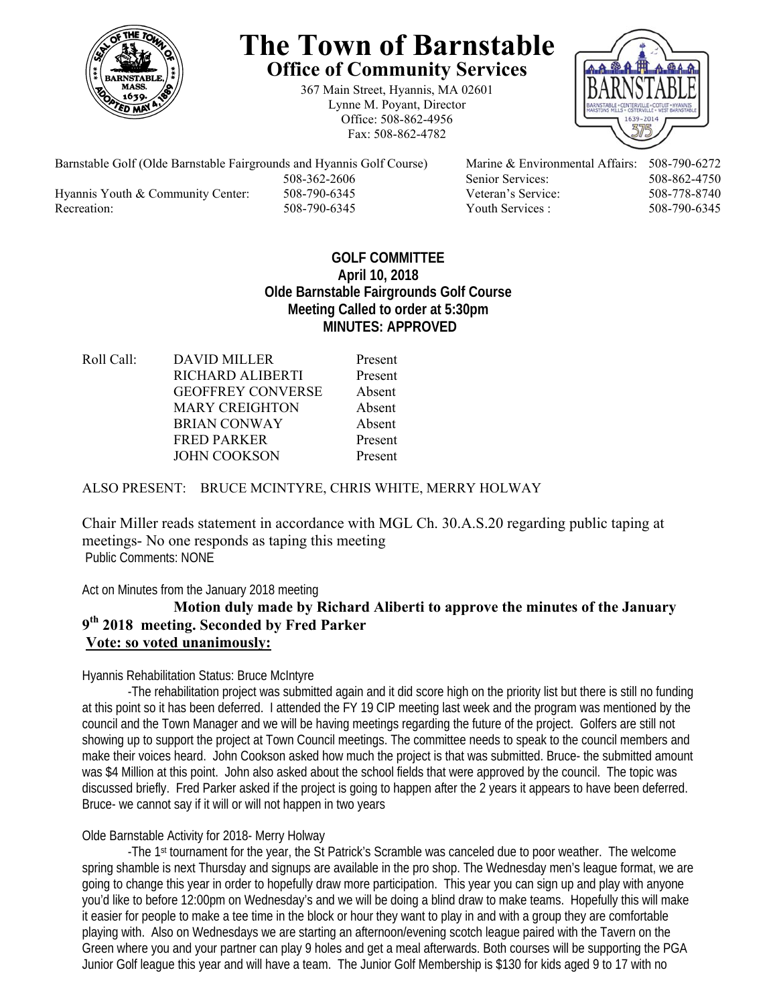

# **The Town of Barnstable Office of Community Services**

367 Main Street, Hyannis, MA 02601 Lynne M. Poyant, Director Office: 508-862-4956 Fax: 508-862-4782



Barnstable Golf (Olde Barnstable Fairgrounds and Hyannis Golf Course) Marine & Environmental Affairs: 508-790-6272 508-362-2606 Senior Services: 508-862-4750 Hyannis Youth & Community Center: 508-790-6345 Veteran's Service: 508-778-8740 Recreation: 508-790-6345 Youth Services : 508-790-6345 S08-790-6345

# **GOLF COMMITTEE April 10, 2018 Olde Barnstable Fairgrounds Golf Course Meeting Called to order at 5:30pm MINUTES: APPROVED**

Roll Call: DAVID MILLER Present RICHARD ALIBERTI Present GEOFFREY CONVERSE Absent MARY CREIGHTON Absent BRIAN CONWAY Absent FRED PARKER Present JOHN COOKSON Present

## ALSO PRESENT: BRUCE MCINTYRE, CHRIS WHITE, MERRY HOLWAY

Chair Miller reads statement in accordance with MGL Ch. 30.A.S.20 regarding public taping at meetings- No one responds as taping this meeting Public Comments: NONE

Act on Minutes from the January 2018 meeting

# **Motion duly made by Richard Aliberti to approve the minutes of the January 9th 2018 meeting. Seconded by Fred Parker Vote: so voted unanimously:**

## Hyannis Rehabilitation Status: Bruce McIntyre

 -The rehabilitation project was submitted again and it did score high on the priority list but there is still no funding at this point so it has been deferred. I attended the FY 19 CIP meeting last week and the program was mentioned by the council and the Town Manager and we will be having meetings regarding the future of the project. Golfers are still not showing up to support the project at Town Council meetings. The committee needs to speak to the council members and make their voices heard. John Cookson asked how much the project is that was submitted. Bruce- the submitted amount was \$4 Million at this point. John also asked about the school fields that were approved by the council. The topic was discussed briefly. Fred Parker asked if the project is going to happen after the 2 years it appears to have been deferred. Bruce- we cannot say if it will or will not happen in two years

## Olde Barnstable Activity for 2018- Merry Holway

 -The 1st tournament for the year, the St Patrick's Scramble was canceled due to poor weather. The welcome spring shamble is next Thursday and signups are available in the pro shop. The Wednesday men's league format, we are going to change this year in order to hopefully draw more participation. This year you can sign up and play with anyone you'd like to before 12:00pm on Wednesday's and we will be doing a blind draw to make teams. Hopefully this will make it easier for people to make a tee time in the block or hour they want to play in and with a group they are comfortable playing with. Also on Wednesdays we are starting an afternoon/evening scotch league paired with the Tavern on the Green where you and your partner can play 9 holes and get a meal afterwards. Both courses will be supporting the PGA Junior Golf league this year and will have a team. The Junior Golf Membership is \$130 for kids aged 9 to 17 with no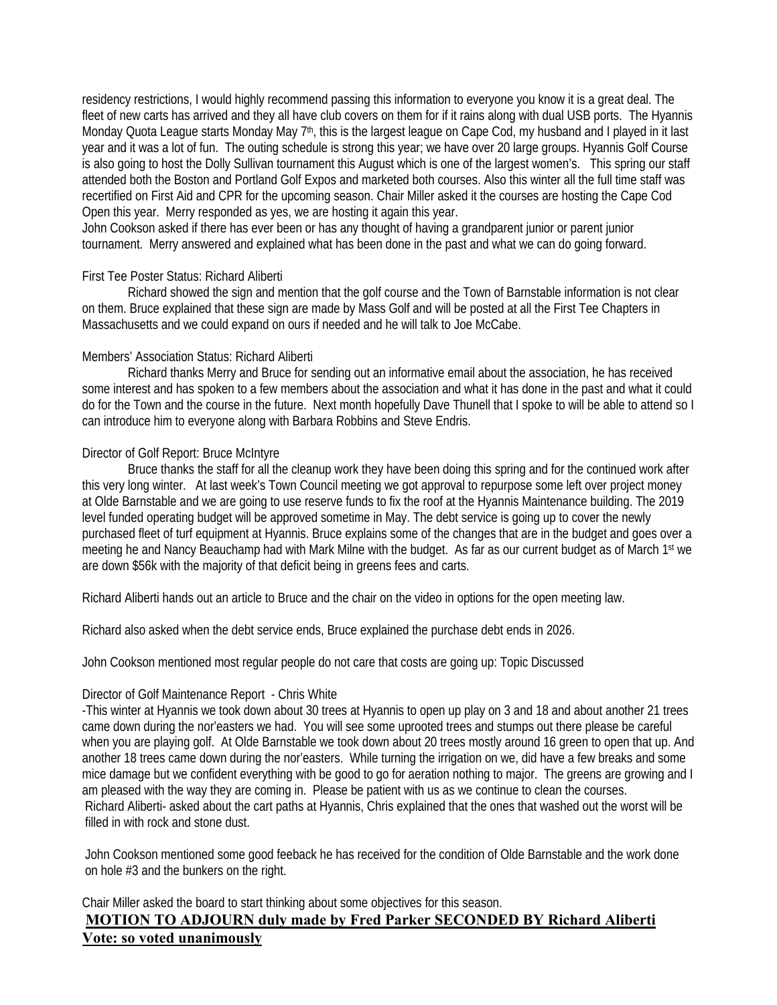residency restrictions, I would highly recommend passing this information to everyone you know it is a great deal. The fleet of new carts has arrived and they all have club covers on them for if it rains along with dual USB ports. The Hyannis Monday Quota League starts Monday May 7<sup>th</sup>, this is the largest league on Cape Cod, my husband and I played in it last year and it was a lot of fun. The outing schedule is strong this year; we have over 20 large groups. Hyannis Golf Course is also going to host the Dolly Sullivan tournament this August which is one of the largest women's. This spring our staff attended both the Boston and Portland Golf Expos and marketed both courses. Also this winter all the full time staff was recertified on First Aid and CPR for the upcoming season. Chair Miller asked it the courses are hosting the Cape Cod Open this year. Merry responded as yes, we are hosting it again this year.

John Cookson asked if there has ever been or has any thought of having a grandparent junior or parent junior tournament. Merry answered and explained what has been done in the past and what we can do going forward.

#### First Tee Poster Status: Richard Aliberti

 Richard showed the sign and mention that the golf course and the Town of Barnstable information is not clear on them. Bruce explained that these sign are made by Mass Golf and will be posted at all the First Tee Chapters in Massachusetts and we could expand on ours if needed and he will talk to Joe McCabe.

## Members' Association Status: Richard Aliberti

 Richard thanks Merry and Bruce for sending out an informative email about the association, he has received some interest and has spoken to a few members about the association and what it has done in the past and what it could do for the Town and the course in the future. Next month hopefully Dave Thunell that I spoke to will be able to attend so I can introduce him to everyone along with Barbara Robbins and Steve Endris.

## Director of Golf Report: Bruce McIntyre

 Bruce thanks the staff for all the cleanup work they have been doing this spring and for the continued work after this very long winter. At last week's Town Council meeting we got approval to repurpose some left over project money at Olde Barnstable and we are going to use reserve funds to fix the roof at the Hyannis Maintenance building. The 2019 level funded operating budget will be approved sometime in May. The debt service is going up to cover the newly purchased fleet of turf equipment at Hyannis. Bruce explains some of the changes that are in the budget and goes over a meeting he and Nancy Beauchamp had with Mark Milne with the budget. As far as our current budget as of March 1st we are down \$56k with the majority of that deficit being in greens fees and carts.

Richard Aliberti hands out an article to Bruce and the chair on the video in options for the open meeting law.

Richard also asked when the debt service ends, Bruce explained the purchase debt ends in 2026.

John Cookson mentioned most regular people do not care that costs are going up: Topic Discussed

#### Director of Golf Maintenance Report - Chris White

-This winter at Hyannis we took down about 30 trees at Hyannis to open up play on 3 and 18 and about another 21 trees came down during the nor'easters we had. You will see some uprooted trees and stumps out there please be careful when you are playing golf. At Olde Barnstable we took down about 20 trees mostly around 16 green to open that up. And another 18 trees came down during the nor'easters. While turning the irrigation on we, did have a few breaks and some mice damage but we confident everything with be good to go for aeration nothing to major. The greens are growing and I am pleased with the way they are coming in. Please be patient with us as we continue to clean the courses. Richard Aliberti- asked about the cart paths at Hyannis, Chris explained that the ones that washed out the worst will be filled in with rock and stone dust.

John Cookson mentioned some good feeback he has received for the condition of Olde Barnstable and the work done on hole #3 and the bunkers on the right.

Chair Miller asked the board to start thinking about some objectives for this season. **MOTION TO ADJOURN duly made by Fred Parker SECONDED BY Richard Aliberti Vote: so voted unanimously**